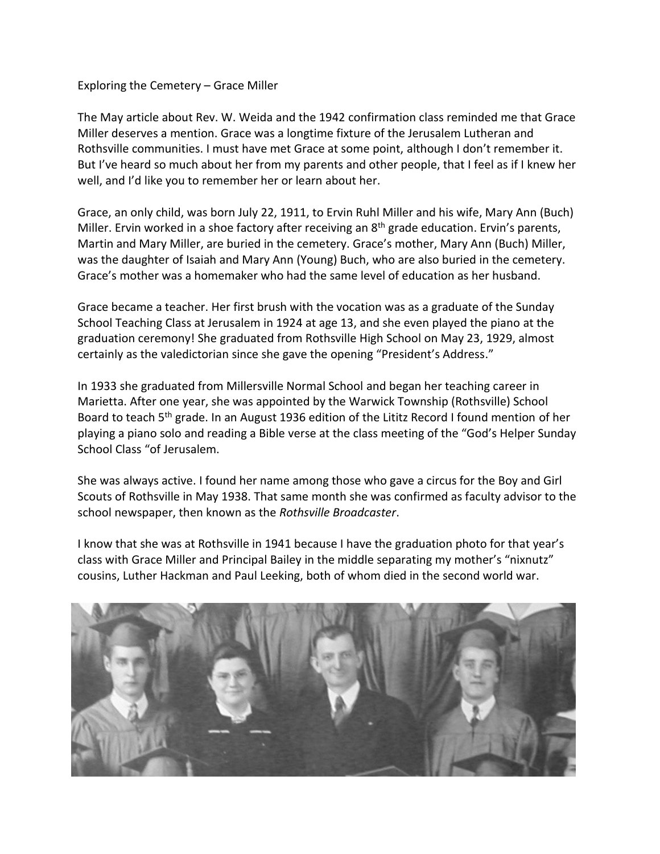Exploring the Cemetery – Grace Miller

The May article about Rev. W. Weida and the 1942 confirmation class reminded me that Grace Miller deserves a mention. Grace was a longtime fixture of the Jerusalem Lutheran and Rothsville communities. I must have met Grace at some point, although I don't remember it. But I've heard so much about her from my parents and other people, that I feel as if I knew her well, and I'd like you to remember her or learn about her.

Grace, an only child, was born July 22, 1911, to Ervin Ruhl Miller and his wife, Mary Ann (Buch) Miller. Ervin worked in a shoe factory after receiving an 8<sup>th</sup> grade education. Ervin's parents, Martin and Mary Miller, are buried in the cemetery. Grace's mother, Mary Ann (Buch) Miller, was the daughter of Isaiah and Mary Ann (Young) Buch, who are also buried in the cemetery. Grace's mother was a homemaker who had the same level of education as her husband.

Grace became a teacher. Her first brush with the vocation was as a graduate of the Sunday School Teaching Class at Jerusalem in 1924 at age 13, and she even played the piano at the graduation ceremony! She graduated from Rothsville High School on May 23, 1929, almost certainly as the valedictorian since she gave the opening "President's Address."

In 1933 she graduated from Millersville Normal School and began her teaching career in Marietta. After one year, she was appointed by the Warwick Township (Rothsville) School Board to teach 5<sup>th</sup> grade. In an August 1936 edition of the Lititz Record I found mention of her playing a piano solo and reading a Bible verse at the class meeting of the "God's Helper Sunday School Class "of Jerusalem.

She was always active. I found her name among those who gave a circus for the Boy and Girl Scouts of Rothsville in May 1938. That same month she was confirmed as faculty advisor to the school newspaper, then known as the *Rothsville Broadcaster*.

I know that she was at Rothsville in 1941 because I have the graduation photo for that year's class with Grace Miller and Principal Bailey in the middle separating my mother's "nixnutz" cousins, Luther Hackman and Paul Leeking, both of whom died in the second world war.